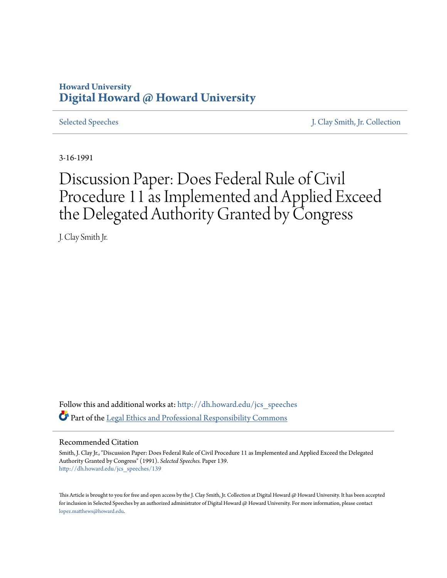## **Howard University [Digital Howard @ Howard University](http://dh.howard.edu?utm_source=dh.howard.edu%2Fjcs_speeches%2F139&utm_medium=PDF&utm_campaign=PDFCoverPages)**

[Selected Speeches](http://dh.howard.edu/jcs_speeches?utm_source=dh.howard.edu%2Fjcs_speeches%2F139&utm_medium=PDF&utm_campaign=PDFCoverPages) [J. Clay Smith, Jr. Collection](http://dh.howard.edu/jcsmith?utm_source=dh.howard.edu%2Fjcs_speeches%2F139&utm_medium=PDF&utm_campaign=PDFCoverPages)

3-16-1991

# Discussion Paper: Does Federal Rule of Civil Procedure 11 as Implemented and Applied Exceed the Delegated Authority Granted by Congress

J. Clay Smith Jr.

Follow this and additional works at: [http://dh.howard.edu/jcs\\_speeches](http://dh.howard.edu/jcs_speeches?utm_source=dh.howard.edu%2Fjcs_speeches%2F139&utm_medium=PDF&utm_campaign=PDFCoverPages) Part of the [Legal Ethics and Professional Responsibility Commons](http://network.bepress.com/hgg/discipline/895?utm_source=dh.howard.edu%2Fjcs_speeches%2F139&utm_medium=PDF&utm_campaign=PDFCoverPages)

#### Recommended Citation

Smith, J. Clay Jr., "Discussion Paper: Does Federal Rule of Civil Procedure 11 as Implemented and Applied Exceed the Delegated Authority Granted by Congress" (1991). *Selected Speeches.* Paper 139. [http://dh.howard.edu/jcs\\_speeches/139](http://dh.howard.edu/jcs_speeches/139?utm_source=dh.howard.edu%2Fjcs_speeches%2F139&utm_medium=PDF&utm_campaign=PDFCoverPages)

This Article is brought to you for free and open access by the J. Clay Smith, Jr. Collection at Digital Howard @ Howard University. It has been accepted for inclusion in Selected Speeches by an authorized administrator of Digital Howard @ Howard University. For more information, please contact [lopez.matthews@howard.edu.](mailto:lopez.matthews@howard.edu)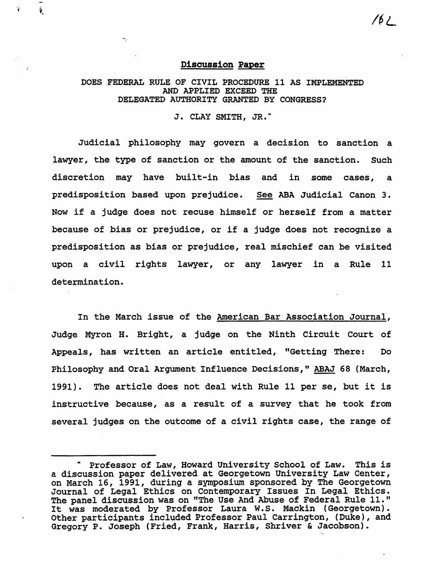### Discussion Paper

÷,

*16L* 

DOES FEDERAL RULE OF CIVIL PROCEDURE 11 AS IMPLEMENTED AND APPLIED EXCEED THE DELEGATED AUTHORITY GRANTED BY CONGRESS?

J. CLAY SMITH, JR."

Judicial philosophy may govern a decision to sanction a lawyer, the type of sanction or the amount of the sanction. such discretion may have built-in bias and in some cases, a predisposition based upon prejudice. See ABA Judicial Canon 3. Now if a judge does not recuse himself or herself from a matter because of bias or prejudice, or if a judge does not recognize a predisposition as bias or prejudice, real mischief can be visited upon a civil rights lawyer, or any lawyer in a Rule 11 determination.

In the March issue of the American Bar'Association Journal, Judge Myron H. Bright, a judge on the Ninth Circuit Court of Appeals, has written an article entitled, "Getting There: Do Philosophy and Oral Argument Influence Decisions," ABAJ 68 (March, 1991). The article does not deal with Rule 11 per se, but it is instructive because, as a result of a survey that he took from several judges on the outcome of a civil rights case, the range of

Professor of Law, Howard University School of Law. This is a discussion paper delivered at Georgetown University Law Center, on March 16, 1991, during a symposium sponsored by The Georgetown Journal of Legal Ethics on Contemporary Issues In Legal Ethics. The panel discussion was on "The Use And Abuse of Federal Rule 11." The panel discussion was on "The Use And Abuse of Federal Rule II."<br>It was moderated by Professor Laura W.S. Mackin (Georgetown). Other participants included Professor Paul Carrington, (Duke), and Gregory P. Joseph (Fried, Frank, Harris, Shriver & Jacobson).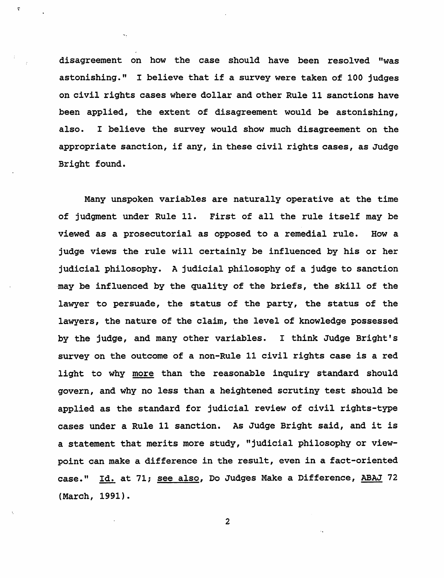disagreement on how the case should have been resolved "was astonishing." I believe that if a survey were taken of 100 judges on civil rights cases where dollar and other Rule 11 sanctions have been applied, the extent of disagreement would be astonishing, also. I believe the survey would show much disagreement on the appropriate sanction, if any, in these civil rights cases, as Judge Bright found.

Many unspoken variables are naturally operative at the time of judgment under Rule 11. First of all the rule itself may be viewed as a prosecutorial as opposed to a remedial rule. How a judge views the rule will certainly be influenced by his or her judicial philosophy. A judicial philosophy of a judge to sanction ·may be influenced by the quality of the briefs, the skill of the lawyer to persuade, the status of the party, the status of the lawyers, the nature of the claim, the level of knowledge possessed by the judge, and many other variables. I think Judge Bright's survey on the outcome of a non-Rule 11 civil rights case is a red light to why more than the reasonable inquiry standard should govern, and why no less than a heightened scrutiny test should be applied as the standard for judicial review of civil rights-type cases under a Rule 11 sanction. As Judge Bright said, and it is a statement that merits more study, "judicial philosophy or viewpoint can make a difference in the result, even in a fact-oriented case." <u>Id.</u> at 71; <u>see also</u>, Do Judges Make a Difference, <u>ABAJ</u> 72<br>(March, 1991).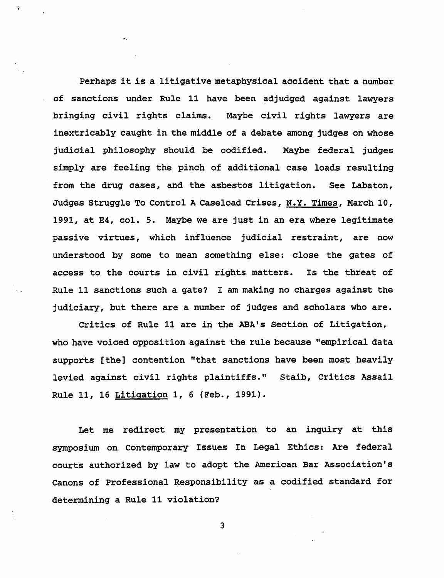Perhaps it is a litigative metaphysical accident that a number of sanctions under Rule 11 have been adjudged against lawyers bringing civil rights claims. Maybe civil rights lawyers are inextricably caught in the middle of a debate among judges on whose judicial philosophy should be codified. Maybe federal judges simply are feeling the pinch of additional case loads resulting from the drug cases, and the asbestos litigation. See Labaton, Judges Struggle To Control A Caseload *Crises,* N. Y. Times, March 10, 1991, at E4, col. 5. Maybe we are just in an era where legitimate passive virtues, which influence judicial restraint, are now understood by some to mean something else: close the gates of access to the courts in civil rights matters. Is the threat of Rule 11 sanctions such a gate? I am making no charges against the judiciary, but there are a number of judges and scholars who are.

Critics of Rule 11 are in the ABA's Section of Litigation, who have voiced opposition against the rule because "empirical data supports [the] contention "that sanctions have been most heavily levied against civil rights plaintiffs." Staib, Critics Assail Rule 11, 16 Litigation 1, 6 (Feb., 1991).

Let me redirect my presentation to an inquiry at this symposium on Contemporary Issues In Legal Ethics: Are federal courts authorized by law to adopt the American Bar Association's Canons of Professional Responsibility as a codified standard for determining a Rule 11 violation?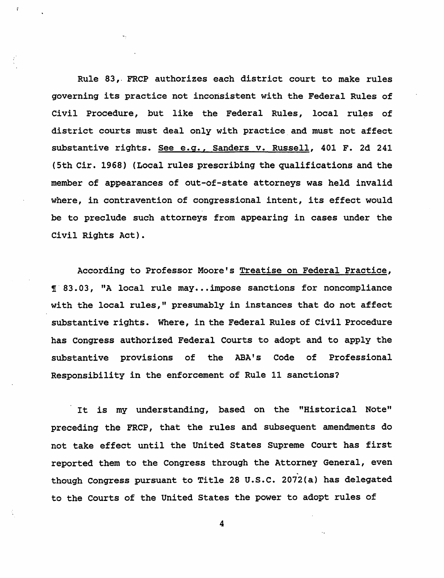Rule 83,. FRCP authorizes each district court to make rules governing its practice not inconsistent with the Federal Rules of Civil Procedure, but like the Federal Rules, local rules of district courts must deal only with practice and must not affect substantive rights. See e.g., Sanders v. Russell, 401 F. 2d 241 (5th Cir. 1968) (Local rules prescribing the qualifications and the member of appearances of out-of-state attorneys was held invalid where, in contravention of congressional intent, its effect would be to preclude such attorneys from appearing in cases under the Civil Rights Act).

According to Professor Moore's Treatise on Federal Practice, !' 83. 03 , "A local rule may ••• impose sanctions for noncompliance with the local rules," presumably in instances that do not affect substantive rights. Where, in the Federal Rules of Civil Procedure has Congress authorized Federal Courts to adopt and to apply the substantive provisions of the ABA's Code of Professional Responsibility in the enforcement of Rule 11 sanctions?

It *is* my understanding, based on the "Historical Note" preceding the FRCP, that the rules and subsequent amendments do not take effect until the United States Supreme Court has first reported them to the Congress through the Attorney General, even<br>though Congress pursuant to Title 28 U.S.C. 2072(a) has delegated to the Courts of the United States the power to adopt rules of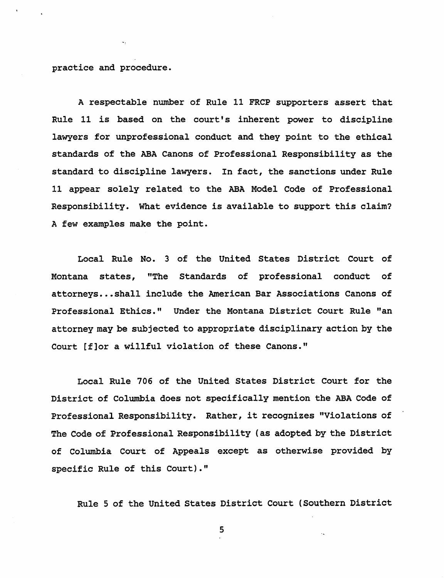practice and procedure.

A respectable number of Rule 11 FRCP supporters assert that Rule 11 is based on the court's inherent power to discipline lawyers for unprofessional conduct and they point to the ethical standards of the ABA Canons of Professional Responsibility as the standard to discipline lawyers. In fact, the sanctions under Rule 11 appear solely related to the ABA Model Code of Professional Responsibility. What evidence is available to support this claim? A few examples make the point.

Local Rule No. 3 of the United States District court of Montana states, "The Standards of professional conduct of attorneys ••• shall include the American Bar Associations Canons of Professional Ethics." Under the Montana District Court Rule "an attorney may be subjected to appropriate disciplinary action by the Court [f]or a willful violation of these Canons."

Local Rule 706 of the United States District Court for the District of Columbia does not specifically mention the ABA Code of Professional Responsibility. Rather, it recognizes "Violations of The Code of Professional Responsibility (as adopted by the District of Columbia Court of Appeals except as otherwise provided by specific Rule of this Court)."

Rule 5 of the United States District Court (Southern District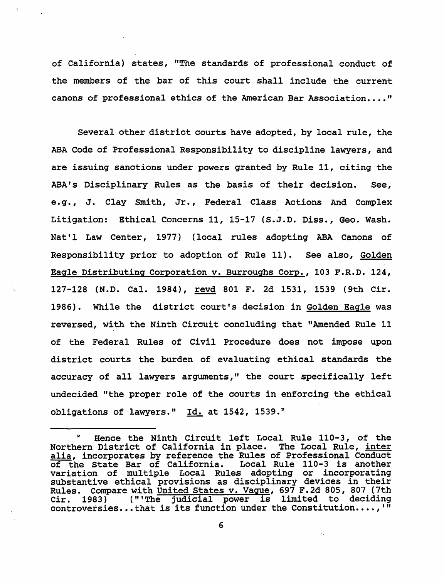of California) states, "The standards of professional conduct of the members of the bar of this court shall include the current canons of professional ethics of the American Bar Association...."

Several other district courts have adopted, by local rule, the ABA Code of Professional Responsibility to discipline lawyers, and are issuing sanctions under powers granted by Rule 11, citing the ABA's Disciplinary Rules as the basis of their decision. See, e.g., J. Clay Smith, Jr., Federal Class Actions And Complex Litigation: Ethical Concerns 11, 15-17 (S.J.D. Diss., Geo. Wash. Nat'l Law Center, 1977) (local rules adopting ABA Canons of Responsibility prior to adoption of Rule 11). See also, Golden Eagle Distributing Corporation v. Burroughs Corp., 103 F.R.D. 124, 127-128 (N.D. Cal. 1984), revd 801 F. 2d 1531, 1539 (9th Cir. 1986). While the district court's decision in Golden Eagle was reversed, with the Ninth Circuit concluding that "Amended Rule 11 of the Federal Rules of Civil Procedure does not impose upon district courts the burden of evaluating ethical standards the accuracy of all lawyers arguments," the court specifically left undecided "the proper role of the courts in enforcing the ethical obligations of lawyers." Id. at 1542, 1539.<sup>2</sup>

<sup>2</sup>Hence the Ninth Circuit left Local Rule 110-3, of the Northern District of California *in* place. The Local Rule, inter alia, incorporates by reference the Rules of Professional Conduct<br>of the State Bar of California. Local Rule 110-3 is another of the State Bar of California. variation of multiple Local Rules adopting or incorporating substantive ethical provisions as disciplinary devices in their Rules. Compare with United States v. Vague, 697 F.2d 805, 807 (7th Cir. 1983) ('" The judicial power *is* limited to deciding controversies...that is its function under the Constitution....,'"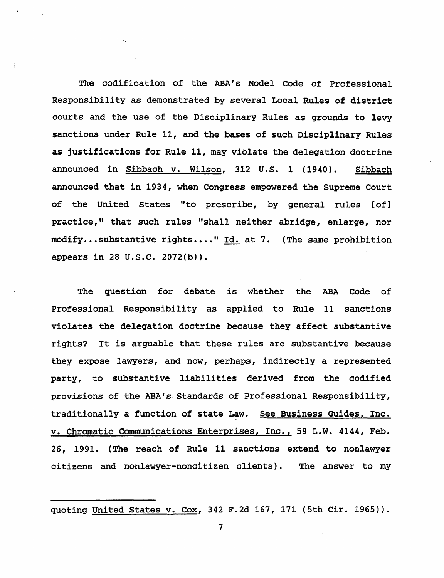The codification of the ABA's Model Code of Professional Responsibility as demonstrated by several Local Rules of district courts and the use of the Disciplinary Rules as grounds to levy sanctions under Rule 11, and the bases of such Disciplinary Rules as justifications for Rule 11, may viblate the delegation doctrine announced in Sibbach v. Wilson, 312 U.S. 1 (1940). Sibbach announced that in 1934, when Congress empowered the Supreme court of the United States "to prescribe, by general rules [of] practice," that such rules "shall neither abridge, enlarge, nor modify... substantive rights...." Id. at 7. (The same prohibition appears in 28 U.S.C. 2072(b)).

The question for debate *is* whether the ABA Code of Professional Responsibility as applied to Rule 11 sanctions violates the delegation doctrine because they affect substantive rights? It *is* arguable that these rules are substantive because they expose lawyers, and now, perhaps, indirectly a represented party, to substantive liabilities derived from the codified provisions of the ABA's. Standards of Professional Responsibility, traditionally a function of state Law. See Business Guides, Inc. v. Chromatic Communications Enterprises, Inc., 59 L.W. 4144, Feb. 26, 1991. (The reach of Rule 11 sanctions extend to nonlawyer citizens and nonlawyer-noncitizen clients). The answer to my

quoting United States v. Cox, 342 F.2d 167, 171 (5th *Cir. 1965».*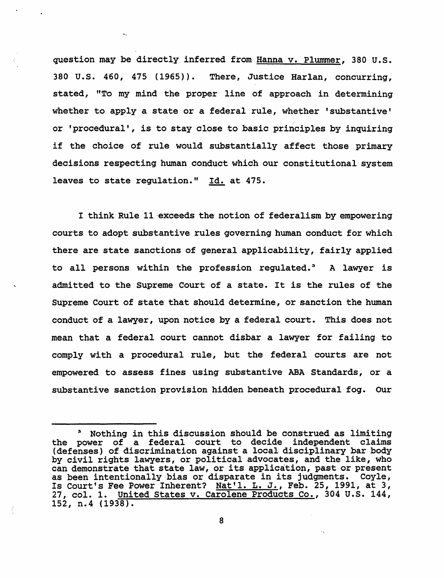question may be directly inferred from Hanna v. Plummer, 380 u.s. 380 u.s. 460, 475 (1965». There, Justice Harlan, concurring, stated, "To my mind the proper line of approach in determining whether to apply a state or a federal rule, whether 'substantive' or 'procedural', *is* to stay close to basic principles by *inquiring*  if the choice of rule would substantially affect those primary decisions respecting human conduct which our constitutional system leaves to state regulation." Id. at 475.

I think Rule 11-exceeds the notion of federalism by empowering courts to adopt substantive rules governing human conduct for which there are state sanctions of general applicability, fairly applied to all persons within the profession regulated.<sup>3</sup> A lawyer is admitted to the Supreme court of a state. It *is* the rules of the Supreme Court of state that should determine, or sanction the human conduct of a lawyer, upon notice by a federal court. This does not mean that a federal court cannot disbar a lawyer for failing to comply with a procedural rule, but the federal courts are not empowered to assess fines using substantive ABA Standards, or a substantive sanction provision hidden beneath procedural fog. Our

Nothing in this discussion should be construed as limiting the power of a federal court to decide independent claims (defenses) of discrimination against a local disciplinary bar body by civil rights lawyers, or political advocates, and the like, who by civil rights lawyers, or political advocates, and the like, who can demonstrate that state law, or its application, past or present can demonstrate that state iaw, or its apprication, past or present<br>as been intentionally bias or disparate in its judgments. Coyle, as been intentionally bias of disparate in its judgments. Coyle,<br>Is Court's Fee Power Inherent? Nat'l. L. J., Feb. 25, 1991, at 3, 27, col. 1. United states v. Carolene Products Co., 304 u.s. 144, 152, n.4 (1938).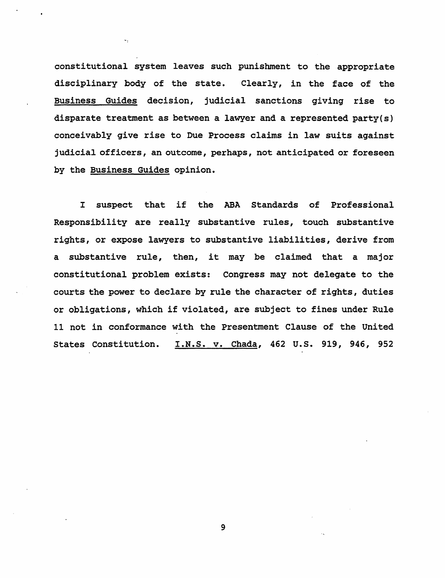constitutional system leaves such punishment to the appropriate disciplinary body of the state. Clearly, in the face of the Business Guides decision, judicial sanctions giving rise to disparate treatment as between a lawyer and a represented party(s) conceivably give rise to Due Process claims in law suits against judicial officers, an outcome, perhaps, not anticipated or foreseen by the Business Guides opinion.

 $\ddotsc$ 

I suspect that if the ABA Standards of Professional Responsibility are really substantive rules, touch substantive rights, or expose lawyers to substantive liabilities, derive from a substantive rule, then, it may be claimed that a major constitutional problem exists: Congress may not delegate to the courts the power to declare by rule the character of rights, duties or obligations, which if violated, are subject to fines under Rule 11 not in conformance with the Presentment Clause of the United States Constitution. I.N.S. v. Chada, 462 u.s. 919, 946, 952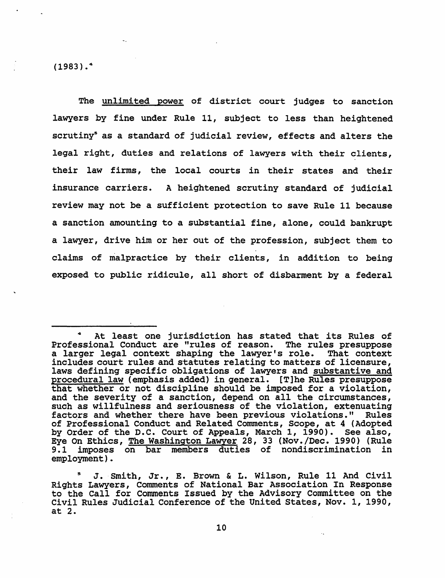$(1983)$ .<sup>4</sup>

The unlimited power of district court judges to sanction lawyers by fine under Rule 11, subject to less than heightened scrutiny<sup>s</sup> as a standard of judicial review, effects and alters the legal right, duties and relations of lawyers with their clients, their law firms, the local courts in their states and their insurance carriers. A heightened scrutiny standard of judicial review may not be a sufficient protection to save Rule 11 because a sanction amounting to a substantial fine, alone, could bankrupt a lawyer, drive him or her out of the profession, subject them to claims of malpractice by their clients, in addition to being exposed to public ridicule, all short of disbarment by a federal

At least one jurisdiction has stated that its Rules of Professional Conduct are "rules of reason. The rules presuppose a larger legal context shaping the lawyer's role. That context includes court rules and statutes relating to matters of licensure, laws defining specific obligations of lawyers and substantive and procedural law (emphasis added) in general. [T]he Rules presuppose that whether or not discipline should be imposed for a violation, and the severity of a sanction, depend on all the circumstances, such as willfulness and seriousness of the violation, extenuating factors and whether there have been previous violations." Rules of Professional Conduct and Related Comments, Scope, at 4 (Adopted by Order of the D.C. Court of Appeals, March 1, 1990). See also, Eye On Ethics, The Washington Lawyer 28, 33 (Nov./Dec. 1990) (Rule 9.1 imposes on bar members duties of nondiscrimination in imposes on bar members duties of nondiscrimination in employment).

J. Smith, Jr., E. Brown & L. Wilson, Rule 11 And Civil Rights Lawyers, Comments of National Bar Association In Response to the Call for Comments Issued by the Advisory Committee on the Civil Rules Judicial Conference of the United States, Nov. 1, 1990, at 2.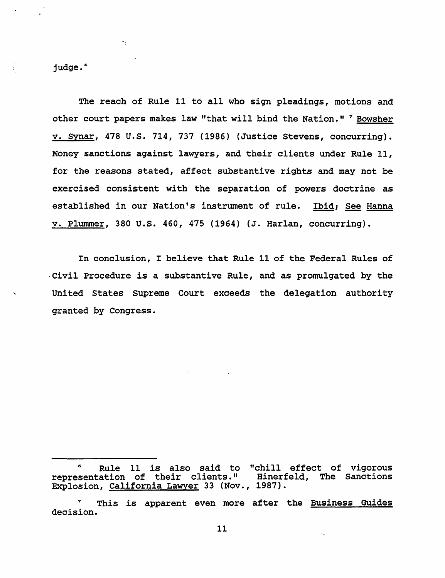judge.<sup>6</sup>

 $\frac{1}{\lambda}$  .

The reach of Rule 11 to all who sign pleadings, motions and other court papers makes law "that will bind the Nation." <sup>7</sup> Bowsher v. Synar, 478 u.s. 714., 737 (1986) (Justice Stevens, concurring). Money sanctions against lawyers, and their clients under Rule 11, for the reasons stated, affect substantive rights and may not be exercised consistent with the separation of powers doctrine as established in our Nation's instrument of rule. Ibid; See Hanna v. Plummer, 380 u.s. 460, 475 (1964) (J. Harlan, concurring).

In conclusion, I believe that Rule 11 of the Federal Rules of ·Civil Procedure *is* a substantive Rule, and as promulgated by the United States Supreme Court exceeds the delegation authority granted by Congress.

<sup>6</sup>Rule 11 *is* also said to "chill effect of vigorous representation of their clients." Hinerfeld, The Sanctions Explosion, <u>California Lawyer</u> 33 (Nov., 1987).

<sup>7</sup> This is apparent even more after the Business Guides decision.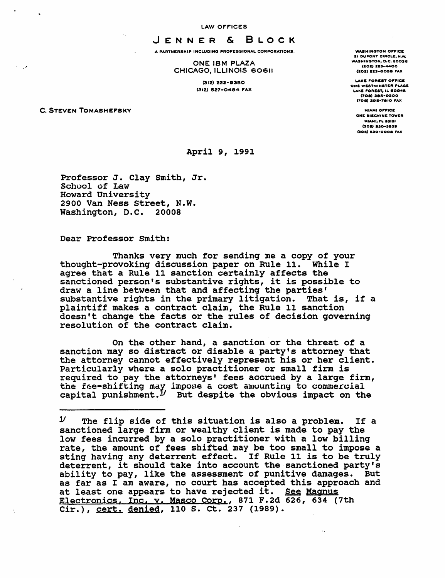LAW OFFICES

JENNER & BLOCK

A PARTNERSHIP INCLUDING PROFESSIONAL CORPORATIONS.

ONE IBM PLAZA CHICAGO, ILLINOIS 60611

> (312) 222-8350 (312) 527-0484 FAX

C. STEVEN TOMASHEFSKY

WASHINGTON OFFICE **21 DUPONT CIRCLE, N.W.** WASHINGTON, D.C. 20036  $(202) 223 - 4400$ (202) 223-6058 FAX

LAKE FOREST OFFICE ONE WESTMINSTER PLACE LAKE FOREST, IL 80045 (70.) a.s-oaoo (708) 295-7810 FAX

**MIAMI OFFICE** ONE SISCAYNE TOWER **MIAMI, FL 33131** (305) S30-3535 (3011) 1130-000. "AX

April 9, 1991

Professor J. Clay Smith, Jr. School of Law<br>Howard University 2900 Van Ness Street, N.W. Washington, D.C. 20008

Dear Professor smith:

Thanks very much for sending me a copy of your thought-provoking discussion paper on Rule 11. While I agree that a Rule 11 sanction certainly affects the sanctioned person's SUbstantive rights, it is possible to draw a line between that and affecting the parties' Substantive rights in the primary litigation. That is, if a substantive rights in the primary litigation. That is, if a plaintiff makes a contract claim, the Rule 11 sanction doesn't change the facts or the rules of decision governing resolution of the contract claim.

On the other hand, a sanction or the threat of a sanction may so distract or disable a party's attorney that the attorney cannot effectively represent his or her client. Particularly where a solo practitioner or small firm is required to pay the attorneys' fees accrued by a large firm, the fee-shifting may impose a cost amounting to commercial capital punishment.<sup> $J$ </sup> But despite the obvious impact on the

 $\ddotsc$ 

*<sup>Y</sup>*The flip side of this situation is also a problem. If a sanctioned large firm or wealthy client is made to pay the low fees incurred by a solo practitioner with a low billing rate, the amount of fees shifted may be too small to impose a sting having any deterrent effect. If Rule 11 is to be truly deterrent, it should take into account the sanctioned party's ability to pay, like the assessment of punitive damages. But as far as I am aware, no court has accepted this approach and<br>at least one appears to have rejected it. See Magnus Electronics, Inc. v. Masco Corp., 871 F.2d 626, 634 (7th Cir.), cert. denied, 110 S. ct. 237 (1989).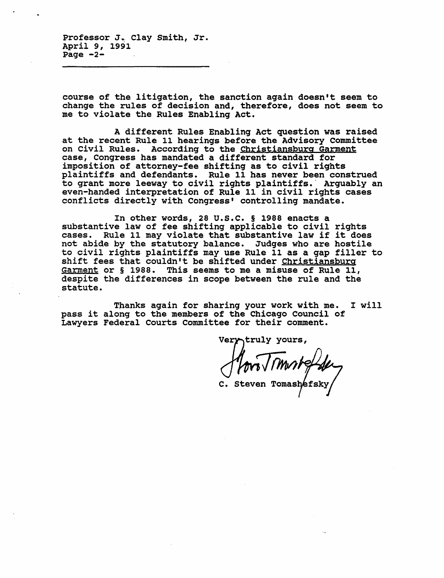Professor J. Clay Smith, Jr. April 9, 1991 Page  $-2-$ 

course of the litigation, the sanction again doesn't seem to change the rules of decision and, therefore, does not seem to me to violate the Rules Enabling Act.

A different Rules Enabling Act question was raised at the recent Rule 11 hearings before the Advisory committee on civil Rules. According to the Christiansburg Garment case, Congress has mandated a different standard for imposition of attorney-fee shifting as to civil rights plaintiffs and defendants. Rule 11 has never been construed to grant more leeway to civil rights plaintiffs.' Arguably an even-handed interpretation of Rule 11 in civil rights cases conflicts directly with Congress' controlling mandate.

In other words, 28 U.S.C. § 1988 enacts a substantive law of fee shifting applicable to civil rights cases. Rule 11 may violate that substantive law if it does not abide by the statutory balance. Judges who are hostile to civil rights plaintiffs may use Rule 11 as a gap filler to shift fees that couldn't be shifted under Christiansburg Garment or § 1988. This seems to me a misuse of Rule 11, despite the differences in scope between the rule and the statute.

Tnanks again for sharing your work with me. I will pass it along to the members of the Chicago Council of Lawyers Federal Courts Committee for their comment.

Very truly yours,

 $M_{\bullet}$ ;  $\Gamma$ *m, abolite.* 

C. steven Tomas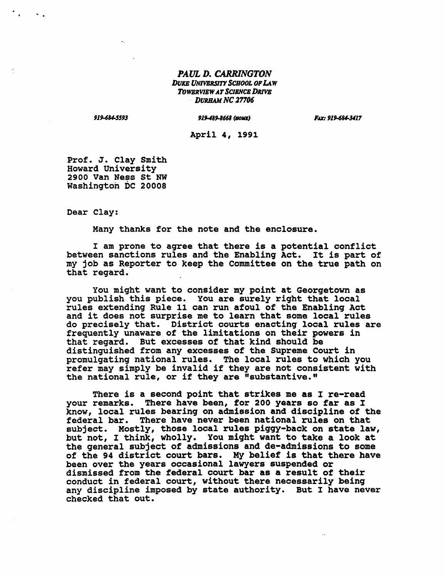#### *PAUL D. CARRINGTON*  **DUKE UNIVERSITY SCHOOL OF LAW** *ToWBRVlEW AT SClENCB DRIVB*  **DURHAM NC 27706**

*91UUS593* 

#### *919-489.1668 (BOllE)*

*FAX: 91U84-3411* 

April 4, 1991

Prof. J. Clay Smith Howard University 2900 Van Ness st NW Washington DC 20008

Dear Clay:

Many thanks for the note and the enclosure.

I am prone to agree that there is a potential conflict between sanctions rules and the Enabling Act. It is part of my job as Reporter to keep the Committee on the true path on that regard.

You might want to consider my point at Georgetown as you publish this piece. You are surely right that local rules extending Rule 11 can run afoul of the Enabling Act and it does not surprise me to learn that some local rules do precisely that. District courts enacting local rules are frequently unaware of the limitations on their powers in that regard. But excesses of that kind should be distinguished from any excesses of the Supreme Court in promulgating national rules. The local rules to which you refer may simply be invalid if they are not consistent with the national rule, or if they are "substantive."

There is a second point that strikes me as I re-read your remarks. There have been, for 200 years so far as I know, local rules bearing on admission and discipline of the federal bar. There have never been national rules on that subject. Mostly, those local rules piggy-back on state law, but not, I think, wholly. You might want to take a look at the general subject of admissions and de-admissions to some of the 94 district court bars. My belief is that there have been over the years occasional lawyers suspended or dismissed from the federal court bar as a result of their conduct in federal court, without there necessarily being any discipline imposed by state authority. But I have never checked that out.